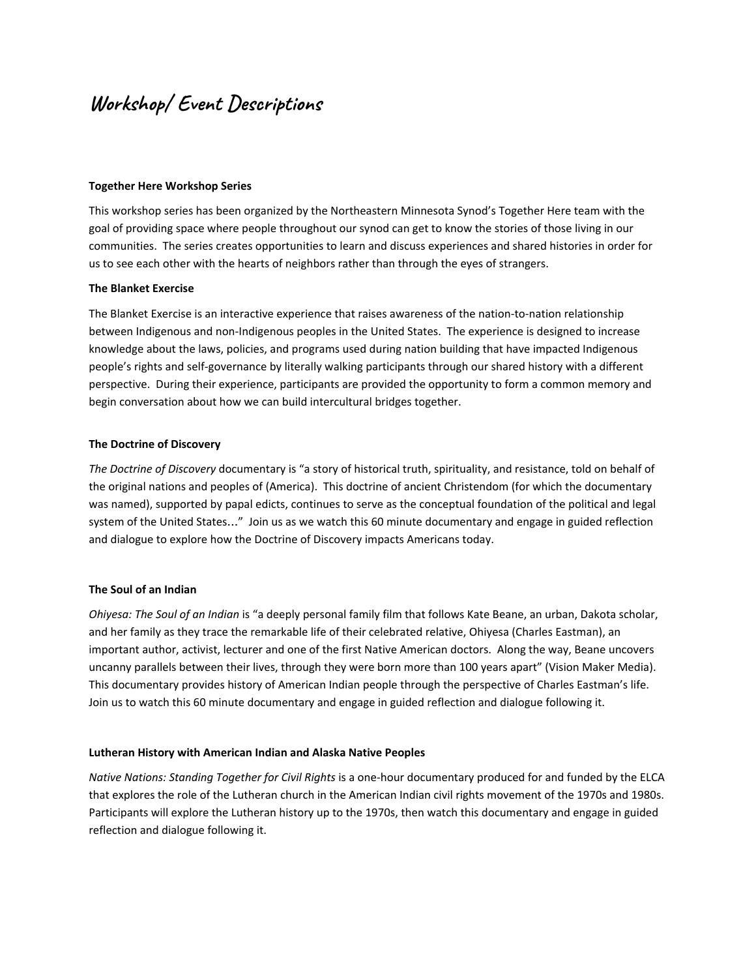# **Workshop/ Event Descriptions**

# **Together Here Workshop Series**

This workshop series has been organized by the Northeastern Minnesota Synod's Together Here team with the goal of providing space where people throughout our synod can get to know the stories of those living in our communities. The series creates opportunities to learn and discuss experiences and shared histories in order for us to see each other with the hearts of neighbors rather than through the eyes of strangers.

# **The Blanket Exercise**

The Blanket Exercise is an interactive experience that raises awareness of the nation-to-nation relationship between Indigenous and non-Indigenous peoples in the United States. The experience is designed to increase knowledge about the laws, policies, and programs used during nation building that have impacted Indigenous people's rights and self-governance by literally walking participants through our shared history with a different perspective. During their experience, participants are provided the opportunity to form a common memory and begin conversation about how we can build intercultural bridges together.

## **The Doctrine of Discovery**

*The Doctrine of Discovery* documentary is "a story of historical truth, spirituality, and resistance, told on behalf of the original nations and peoples of (America). This doctrine of ancient Christendom (for which the documentary was named), supported by papal edicts, continues to serve as the conceptual foundation of the political and legal system of the United States…" Join us as we watch this 60 minute documentary and engage in guided reflection and dialogue to explore how the Doctrine of Discovery impacts Americans today.

#### **The Soul of an Indian**

*Ohiyesa: The Soul of an Indian* is "a deeply personal family film that follows Kate Beane, an urban, Dakota scholar, and her family as they trace the remarkable life of their celebrated relative, Ohiyesa (Charles Eastman), an important author, activist, lecturer and one of the first Native American doctors. Along the way, Beane uncovers uncanny parallels between their lives, through they were born more than 100 years apart" (Vision Maker Media). This documentary provides history of American Indian people through the perspective of Charles Eastman's life. Join us to watch this 60 minute documentary and engage in guided reflection and dialogue following it.

#### **Lutheran History with American Indian and Alaska Native Peoples**

*Native Nations: Standing Together for Civil Rights* is a one-hour documentary produced for and funded by the ELCA that explores the role of the Lutheran church in the American Indian civil rights movement of the 1970s and 1980s. Participants will explore the Lutheran history up to the 1970s, then watch this documentary and engage in guided reflection and dialogue following it.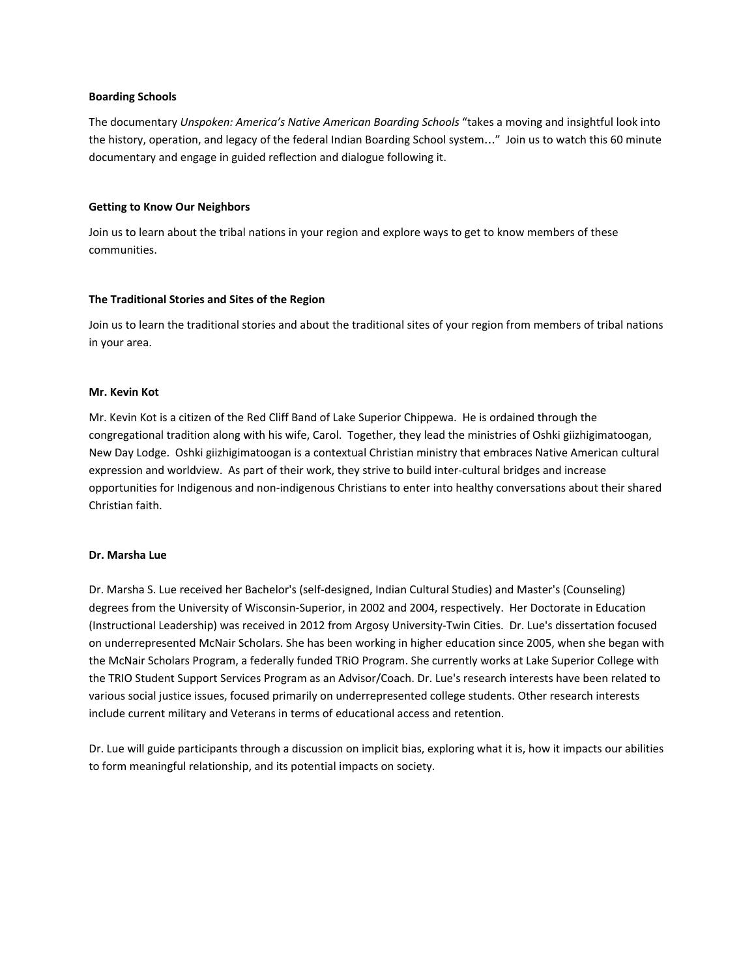## **Boarding Schools**

The documentary *Unspoken: America's Native American Boarding Schools* "takes a moving and insightful look into the history, operation, and legacy of the federal Indian Boarding School system…" Join us to watch this 60 minute documentary and engage in guided reflection and dialogue following it.

# **Getting to Know Our Neighbors**

Join us to learn about the tribal nations in your region and explore ways to get to know members of these communities.

## **The Traditional Stories and Sites of the Region**

Join us to learn the traditional stories and about the traditional sites of your region from members of tribal nations in your area.

# **Mr. Kevin Kot**

Mr. Kevin Kot is a citizen of the Red Cliff Band of Lake Superior Chippewa. He is ordained through the congregational tradition along with his wife, Carol. Together, they lead the ministries of Oshki giizhigimatoogan, New Day Lodge. Oshki giizhigimatoogan is a contextual Christian ministry that embraces Native American cultural expression and worldview. As part of their work, they strive to build inter-cultural bridges and increase opportunities for Indigenous and non-indigenous Christians to enter into healthy conversations about their shared Christian faith.

### **Dr. Marsha Lue**

Dr. Marsha S. Lue received her Bachelor's (self-designed, Indian Cultural Studies) and Master's (Counseling) degrees from the University of Wisconsin-Superior, in 2002 and 2004, respectively. Her Doctorate in Education (Instructional Leadership) was received in 2012 from Argosy University-Twin Cities. Dr. Lue's dissertation focused on underrepresented McNair Scholars. She has been working in higher education since 2005, when she began with the McNair Scholars Program, a federally funded TRiO Program. She currently works at Lake Superior College with the TRIO Student Support Services Program as an Advisor/Coach. Dr. Lue's research interests have been related to various social justice issues, focused primarily on underrepresented college students. Other research interests include current military and Veterans in terms of educational access and retention.

Dr. Lue will guide participants through a discussion on implicit bias, exploring what it is, how it impacts our abilities to form meaningful relationship, and its potential impacts on society.